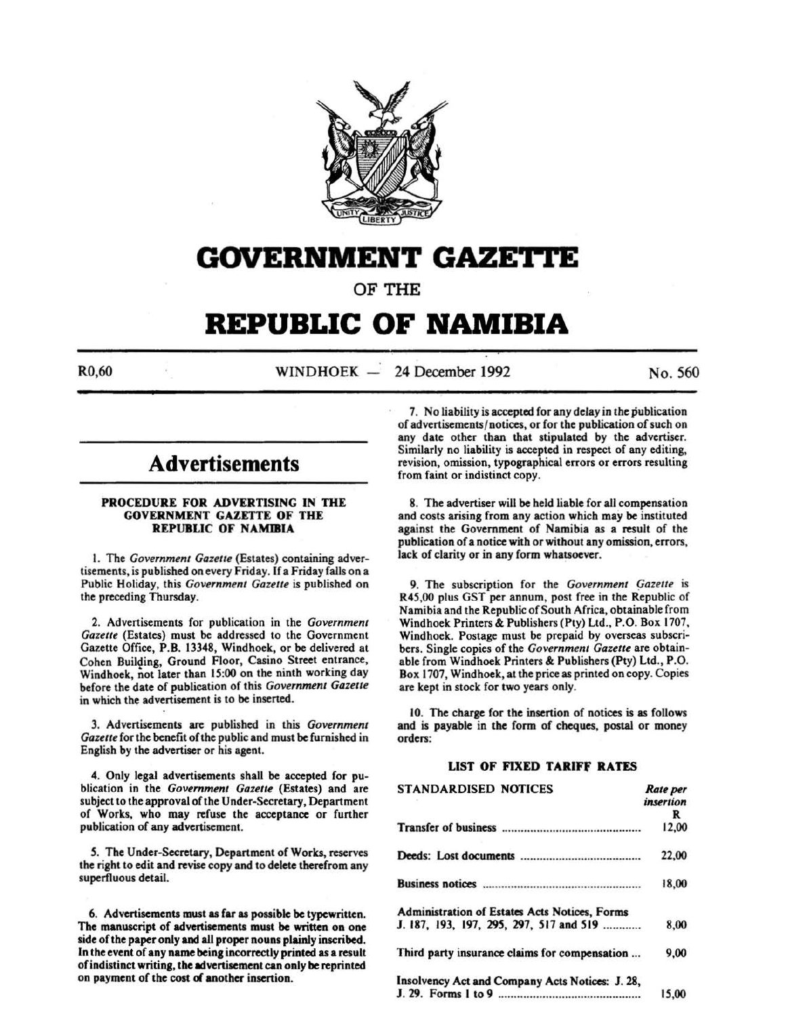

# **GOVERNMENT GAZE'I"I'E**

OF THE

# **REPUBLIC OF NAMIBIA**

 $R0,60$  WINDHOEK - 24 December 1992 No. 560

# **Advertisements**

# PROCEDURE FOR ADVERTISING IN THE GOVERNMENT GAZETTE OF THE REPUBLIC OF NAMIBIA

I. The *Government Gazette* (Estates) containing advertisements, is published on every Friday. If a Friday falls on a Public Holiday, this *Government Gazette* is published on the preceding Thursday.

2. Advertisements for publication in the *Government Gazette* (Estates) must be addressed to the Government Gazette Office, P.B. 13348, Windhoek, or be delivered at Cohen Building, Ground Floor, Casino Street entrance, Windhoek, not later than 15:00 on the ninth working day before the date of publication of this *Government Gazette*  in which the advertisement is to be inserted.

3. Advertisements are published in this *Government Gazette* for the benefit of the public and must be furnished in English by the advertiser or his agent.

4. Only legal advertisements shall be accepted for publication in the *Government Gazette* (Estates) and are subject to the approval of the Under-Secretary, Department of Works, who may refuse the acceptance or further publication of any advertisement.

*5.* The Under-Secretary, Department of Works, reserves the right to edit and revise copy and to delete therefrom any superfluous detail.

6. Advertisements must as far as possible be typewritten. The manuscript of advertisements must be written on one side of the paper only and all proper nouns plainly inscribed. In the event of any name being incorrectly printed as a result of indistinct writing, the advertisement can only be reprinted on payment of the cost of another insertion.

7. No liability is accepted for any delay in the publication of advertisements/notices, or for the publication of such on any date other than that stipulated by the advertiser. Similarly no liability is accepted in respect of any editing, revision, omission, typographical errors or errors resulting from faint or indistinct copy.

8. The advertiser will be held liable for all compensation and costs arising from any action which may be instituted against the Government of Namibia as a result of the publication of a notice with or without any omission, errors, lack of clarity or in any form whatsoever.

9. The subscription for the *Government Gazette* is R45,00 plus GST per annum, post free in the Republic of Namibia and the Republic of South Africa, obtainable from Windhoek Printers & Publishers (Pty) Ltd., P.O. Box 1707, Windhoek. Postage must be prepaid by overseas subscribers. Single copies of the *Government Gazette* are obtainable from Windhoek Printers & Publishers (Pty) Ltd., P.O. Box 1707, Windhoek, at the price as printed on copy. Copies are kept in stock for two years only.

10. The charge for the insertion of notices is as follows and is payable in the form of cheques, postal or money orders:

# LIST OF FIXED TARIFf RATES

| <b>STANDARDISED NOTICES</b>                     | Rate per  |
|-------------------------------------------------|-----------|
|                                                 | insertion |
|                                                 | R         |
|                                                 | 12,00     |
|                                                 | 22,00     |
|                                                 | 18,00     |
| Administration of Estates Acts Notices, Forms   |           |
| J. 187, 193, 197, 295, 297, 517 and 519         | 8,00      |
| Third party insurance claims for compensation   | 9,00      |
| Insolvency Act and Company Acts Notices: J. 28, |           |
|                                                 | 15,00     |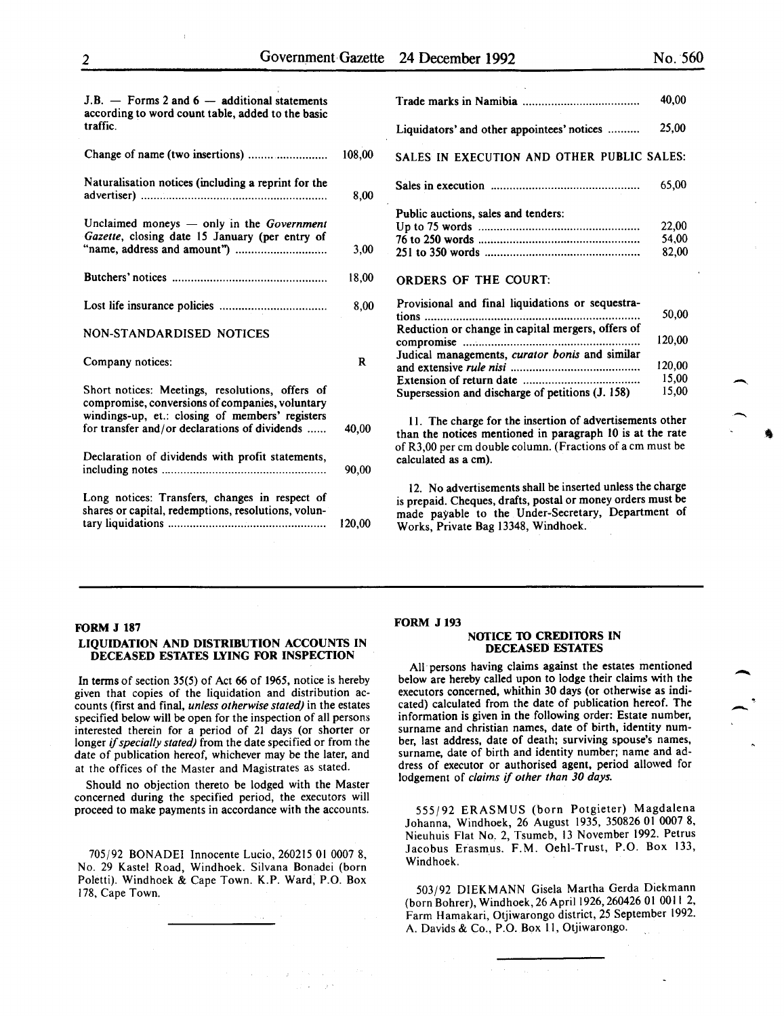| $J.B.$ - Forms 2 and 6 - additional statements<br>according to word count table, added to the basic<br>traffic.                                                                                        |        |
|--------------------------------------------------------------------------------------------------------------------------------------------------------------------------------------------------------|--------|
| Change of name (two insertions)                                                                                                                                                                        | 108,00 |
| Naturalisation notices (including a reprint for the                                                                                                                                                    | 8,00   |
| Unclaimed moneys $-$ only in the Government<br>Gazette, closing date 15 January (per entry of                                                                                                          | 3,00   |
|                                                                                                                                                                                                        | 18,00  |
|                                                                                                                                                                                                        | 8,00   |
| NON-STANDARDISED NOTICES                                                                                                                                                                               |        |
| Company notices:                                                                                                                                                                                       | R      |
| Short notices: Meetings, resolutions, offers of<br>compromise, conversions of companies, voluntary<br>windings-up, et.: closing of members' registers<br>for transfer and/or declarations of dividends | 40,00  |
|                                                                                                                                                                                                        |        |
| Declaration of dividends with profit statements,                                                                                                                                                       | 90,00  |
| Long notices: Transfers, changes in respect of<br>shares or capital, redemptions, resolutions, volun-                                                                                                  | 120,00 |

|                                                            | 40,00  |
|------------------------------------------------------------|--------|
| Liquidators' and other appointees' notices                 | 25,00  |
| SALES IN EXECUTION AND OTHER PUBLIC SALES:                 |        |
|                                                            | 65,00  |
| Public auctions, sales and tenders:                        |        |
|                                                            | 22,00  |
|                                                            | 54,00  |
|                                                            | 82,00  |
| <b>ORDERS OF THE COURT:</b>                                |        |
| Provisional and final liquidations or sequestra-           |        |
| tions<br>Reduction or change in capital mergers, offers of | 50,00  |
| compromise                                                 | 120,00 |
| Judical managements, curator bonis and similar             |        |
|                                                            | 120,00 |
|                                                            | 15,00  |
|                                                            | 15,00  |
| Supersession and discharge of petitions (J. 158)           |        |
| 11. The charge for the insertion of advertisements other   |        |

II. The charge for the insertion of advertisements other than the notices mentioned in paragraph 10 is at the rate of R3,00 per em double column. (Fractions of a em must be calculated as a em).

12. No advertisements shall be inserted unless the charge is prepaid. Cheques, drafts, postal or money orders must be made payable to the Under-Secretary, Department of Works, Private Bag 13348, Windhoek.

#### FORM J 187

# LIQUIDATION AND DISTRIBUTION ACCOUNTS IN DECEASED ESTATES LYING FOR INSPECTION

In terms of section 35(5) of Act 66 of 1965, notice is hereby given that copies of the liquidation and distribution accounts (first and final, *unless otherwise stated)* in the estates specified below will be open for the inspection of all persons interested therein for a period of 21 days (or shorter or longer if *specially stated)* from the date specified or from the date of publication hereof, whichever may be the later, and at the offices of the Master and Magistrates as stated.

Should no objection thereto be lodged with the Master concerned during the specified period, the executors will proceed to make payments in accordance with the accounts.

705/92 BONADEI Innocente Lucio, 260215 01 0007 8, No. 29 Kastel Road, Windhoek. Silvana Bonadei (born Poletti). Windhoek & Cape Town. K.P. Ward, P.O. Box 178, Cape Town.

#### FORM J 193

#### NOTICE TO CREDITORS IN DECEASED ESTATES

All persons having claims against the estates mentioned below are hereby called upon to lodge their claims with the executors concerned, whithin 30 days (or otherwise as indicated) calculated from the date of publication hereof. The information is given in the following order: Estate number, surname and christian names, date of birth, identity number, last address, date of death; surviving spouse's names, surname, date of birth and identity number; name and address of executor or authorised agent, period allowed for lodgement of *claims* if *other than 30 days.* 

555/92 ERASMUS (born Potgieter) Magdalena Johanna, Windhoek, 26 August 1935, 350826 01 0007 8, Nieuhuis Flat No.2, Tsumeb, 13 November 1992. Petrus Jacobus Erasmus. F.M. Oehi-Trust, P.O. Box 133, Windhoek.

503/92 DIEKMANN Gisela Martha Gerda Diekmann (born Bohrer), Windhoek, 26 April 1926, 260426 01 0011 2, Farm Hamakari, Otjiwarongo district, 25 September 1992. A. Davids & Co., P.O. Box II, Otjiwarongo.

-<br>.<br>.

-<br>-<br>.

 $\overline{\phantom{a}}$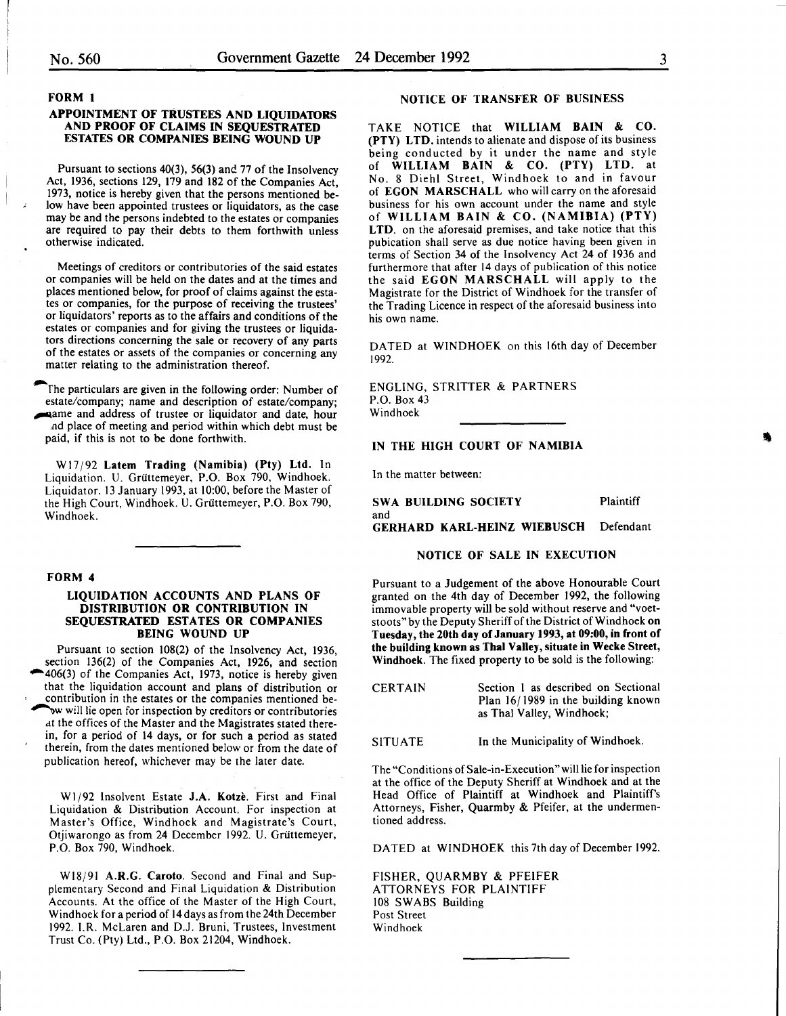FORM 1

#### APPOINTMENT OF TRUSTEES AND LIQUIDATORS AND PROOF OF CLAIMS IN SEQUESTRATED ESTATES OR COMPANIES BEING WOUND UP

Pursuant to sections 40(3), 56(3) and 77 of the Insolvency Act, 1936, sections 129, 179 and 182 of the Companies Act, 1973, notice is hereby given that the persons mentioned below have been appointed trustees or liquidators, as the case may be and the persons indebted to the estates or companies are required to pay their debts to them forthwith unless otherwise indicated.

Meetings of creditors or contributories of the said estates or companies will be held on the dates and at the times and places mentioned below, for proof of claims against the estates or companies, for the purpose of receiving the trustees' or liquidators' reports as to the affairs and conditions of the estates or companies and for giving the trustees or liquidators directions concerning the sale or recovery of any parts of the estates or assets of the companies or concerning any matter relating to the administration thereof.

The particulars are given in the following order: Number of estate/company; name and description of estate/company; ~arne and address of trustee or liquidator and date, hour nd place of meeting and period within which debt must be paid, if this is not to be done forthwith.

W 17/92 Latem Trading (Namibia) (Pty) Ltd. In Liquidation. U. Griittemeyer, P.O. Box 790, Windhoek. Liquidator. 13 January 1993, at 10:00, before the Master of the High Court, Windhoek. U. Griittemeyer, P.O. Box 790, Windhoek.

# FORM 4

# LIQUIDATION ACCOUNTS AND PLANS OF DISTRIBUTION OR CONTRIBUTION IN SEQUESTRATED ESTATES OR COMPANIES BEING WOUND UP

Pursuant to section 108(2) of the Insolvency Act, 1936, section 136(2) of the Companies Act, 1926, and section \*406(3) of the Companies Act, 1973, notice is hereby given that the liquidation account and plans of distribution or contribution in the estates or the companies mentioned be- ~w will lie open for inspection by creditors or contributories dt the offices of the Master and the Magistrates stated therein, for a period of 14 days, or for such a period as stated therein, from the dates mentioned below or from the date of publication hereof, whichever may be the later date.

W1/92 Insolvent Estate J.A. Kotze. First and Final Liquidation & Distribution Account. For inspection at Master's Office, Windhoek and Magistrate's Court, Otjiwarongo as from 24 December 1992. U. Griittemeyer, P.O. Box 790, Windhoek.

Wl8/91 A.R.G. Caroto. Second and Final and Supplementary Second and Final Liquidation & Distribution Accounts. At the office of the Master of the High Court, Windhoek for a period of 14 days as from the 24th December 1992. I.R. McLaren and D.J. Bruni, Trustees, Investment Trust Co. (Pty) Ltd., P.O. Box 21204, Windhoek.

# NOTICE OF TRANSFER OF BUSINESS

TAKE NOTICE that WILLIAM BAIN & CO. (PTY) LTD. intends to alienate and dispose of its business being conducted by it under the name and style of WILLIAM BAIN & CO. (PTY) LTD. at No. 8 Diehl Street, Windhoek to and in favour of EGON MARSCHALL who will carry on the aforesaid business for his own account under the name and style of WILLIAM RAIN & CO. (NAMIBIA) (PTY) LTD. on the aforesaid premises, and take notice that this pubication shall serve as due notice having been given in terms of Section 34 of the Insolvency Act 24 of 1936 and furthermore that after 14 days of publication of this notice the said EGON MARSCHALL will apply to the Magistrate for the District of Windhoek for the transfer of the Trading Licence in respect of the aforesaid business into his own name.

DATED at WINDHOEK on this 16th day of December 1992.

ENGLING, STRITTER & PARTNERS P.O. Box 43 Windhoek

# IN THE HIGH COURT OF NAMIBIA

In the matter between:

SWA BUILDING SOCIETY Plaintiff and GERHARD KARL-HEINZ WIEBUSCH Defendant

#### NOTICE OF SALE IN EXECUTION

Pursuant to a Judgement of the above Honourable Court granted on the 4th day of December 1992, the following immovable property will be sold without reserve and "voetstoots" by the Deputy Sheriff of the District of Windhoek on Tuesday, the 20th day of January 1993, at 09:00, in front of the building known as Thai Valley, situate in Wecke Street, Windhoek. The fixed property to be sold is the following:

| <b>CERTAIN</b> | Section 1 as described on Sectional |
|----------------|-------------------------------------|
|                | Plan 16/1989 in the building known  |
|                | as Thal Valley, Windhoek:           |

SITUATE In the Municipality of Windhoek.

The "Conditions of Sale-in-Execution" will lie for inspection at the office of the Deputy Sheriff at Windhoek and at the Head Office of Plaintiff at Windhoek and Plaintiff's Attorneys, Fisher, Quarmby & Pfeifer, at the undermentioned address.

DATED at WINDHOEK this 7th day of December 1992.

FISHER, QUARMBY & PFEIFER ATTORNEYS FOR PLAINTIFF 108 SWABS Building Post Street Windhoek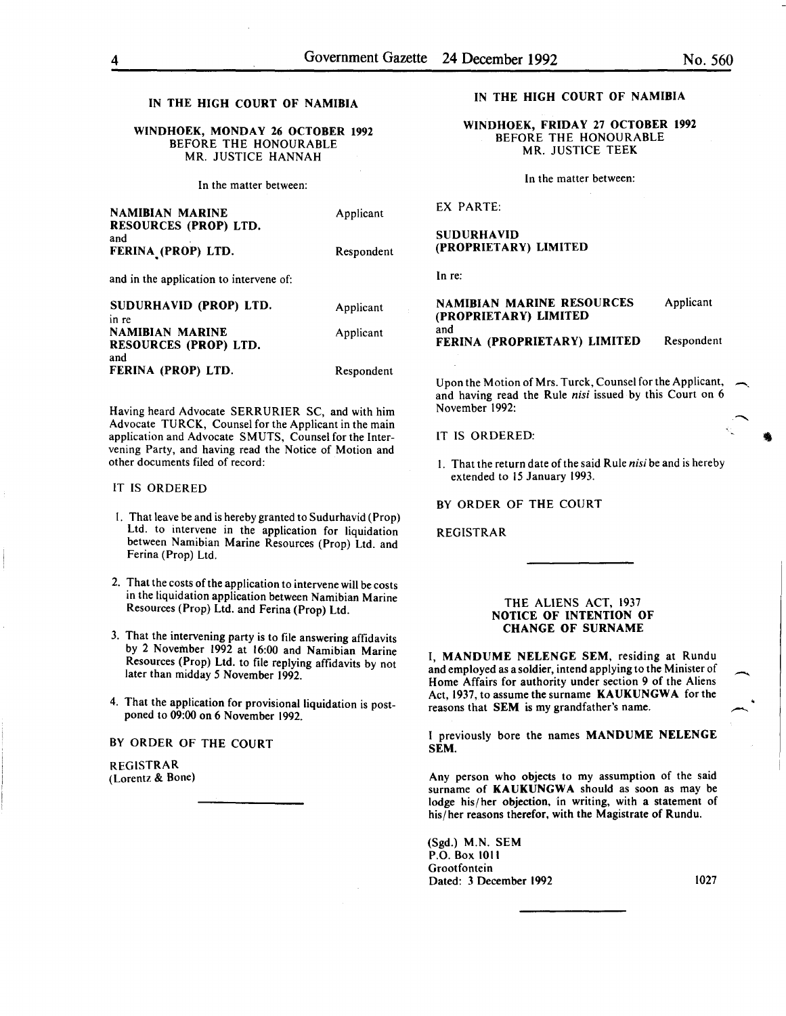# IN THE HIGH COURT OF NAMIBIA

### WINDHOEK, MONDAY 26 OCTOBER 1992 BEFORE THE HONOURABLE MR. JUSTICE HANNAH

In the matter between:

| <b>NAMIBIAN MARINE</b><br>RESOURCES (PROP) LTD.<br>and | Applicant  |
|--------------------------------------------------------|------------|
| FERINA (PROP) LTD.                                     | Respondent |
| and in the application to intervene of:                |            |
| SUDURHAVID (PROP) LTD.<br>in re                        | Applicant  |
| <b>NAMIBIAN MARINE</b><br>RESOURCES (PROP) LTD.        | Applicant  |
| and<br>FERINA (PROP) LTD.                              | Respondent |

Having heard Advocate SERRURIER SC, and with him Advocate TURCK, Counsel for the Applicant in the main application and Advocate SMUTS, Counsel for the Intervening Party, and having read the Notice of Motion and other documents filed of record:

#### IT IS ORDERED

- I. That leave be and is hereby granted to Sudurhavid (Prop) Ltd. to intervene in the application for liquidation between Namibian Marine Resources (Prop) Ltd. and Fenna (Prop) Ltd.
- 2. That the costs of the application to intervene will be costs in the liquidation application between Namibian Marine Resources (Prop) Ltd. and Ferina (Prop) Ltd.
- 3. That the intervening party is to file answering affidavits by 2 November 1992 at 16:00 and Namibian Marine Resources (Prop) Ltd. to file replying affidavits by not later than midday *5* November 1992.
- 4. That the application for provisional liquidation is postponed to 09:00 on 6 November 1992.

BY ORDER OF THE COURT

REGISTRAR (Lorentz & Bone)

# IN THE HIGH COURT OF NAMIBIA

WINDHOEK, FRIDAY 27 OCTOBER 1992 BEFORE THE HONOURABLE MR. JUSTICE TEEK

In the matter between:

EX PARTE:

SUDURHAVID (PROPRIETARY) LIMITED

In re:

| <b>NAMIBIAN MARINE RESOURCES</b><br>(PROPRIETARY) LIMITED | Applicant  |
|-----------------------------------------------------------|------------|
| and<br>FERINA (PROPRIETARY) LIMITED                       | Respondent |

Upon the Motion of Mrs. Turck, Counsel for the Applicant, and having read the Rule *nisi* issued by this Court on 6 November I992:

IT IS ORDERED:

I. That the return date of the said Rule *nisi* be and is hereby extended to 15 January 1993.

BY ORDER OF THE COURT

REGISTRAR

#### THE ALIENS ACT, 1937 NOTICE OF INTENTION OF CHANGE OF SURNAME

I, MANDUME NELENGE SEM, residing at Rundu and employed as a soldier, intend applying to the Minister of Home Affairs for authority under section 9 of the Aliens Act, 1937, to assume the surname KAUKUNGWA for the reasons that SEM is my grandfather's name.

I previously bore the names MANDUME NELENGE SEM.

Any person who objects to my assumption of the said surname of KAUKUNGWA should as soon as may be lodge his/her objection, in writing, with a statement of his/her reasons therefor, with the Magistrate of Rundu.

(Sgd.) M.N. SEM P.O. Box 1011 Grootfontein Dated: 3 December 1992 1027

-

• -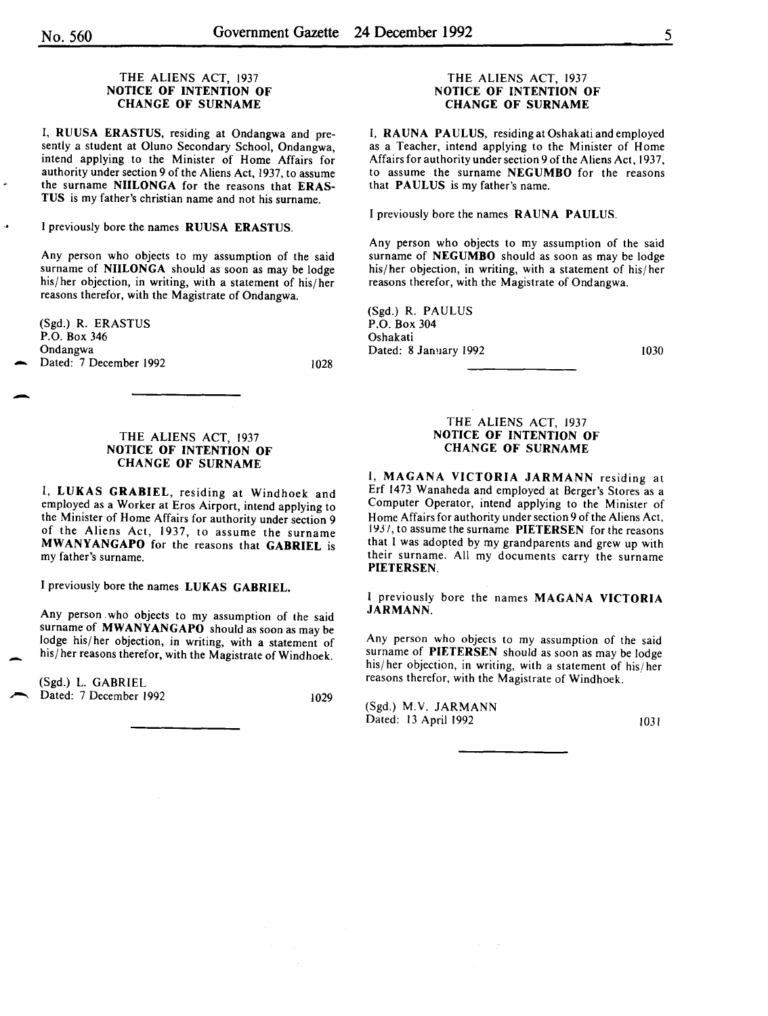### THE ALIENS ACT, 1937 NOTICE OF INTENTION OF CHANGE OF SURNAME

I, RUUSA ERASTUS, residing at Ondangwa and presently a student at Oluno Secondary School, Ondangwa, intend applying to the Minister of Home Affairs for authority under section 9 of the Aliens Act, 1937, to assume the surname NIILONGA for the reasons that ERAS-TUS is my father's christian name and not his surname.

I previously bore the names RUUSA ERASTUS.

Any person who objects to my assumption of the said surname of NIILONGA should as soon as may be lodge his/her objection, in writing, with a statement of his/her reasons therefor, with the Magistrate of Ondangwa.

(Sgd.) R. ERASTUS P.O. Box 346 Ondangwa Dated: 7 December 1992 1028

-

# THE ALIENS ACT, 1937 NOTICE OF INTENTION OF CHANGE OF SURNAME

I, LUKAS GRABIEL, residing at Windhoek and employed as a Worker at Eros Airport, intend applying to the Minister of Home Affairs for authority under section 9 of the Aliens Act, 1937, to assume the surname MWANYANGAPO for the reasons that GABRIEL is my father's surname.

I previously bore the names LUKAS GABRIEL.

Any person who objects to my assumption of the said surname of MWANYANGAPO should as soon as may be lodge his/ her objection, in writing, with a statement of his/ her reasons therefor, with the Magistrate of Windhoek.

(Sgd.) L. GABRIEL Dated: 7 December 1992 1029

## THE ALIENS ACT, 1937 NOTICE OF INTENTION OF CHANGE OF SURNAME

I, RAUNA PAULUS, residing at Oshakati and employed as a Teacher, intend applying to the Minister of Home Affairs for authority under section 9 of the Aliens Act, 1937, to assume the surname NEGUMBO for the reasons that PAULUS is my father's name.

I previously bore the names RAUNA PAULUS.

Any person who objects to my assumption of the said surname of NEGUMBO should as soon as may be lodge his/ her objection, in writing, with a statement of his/ her reasons therefor, with the Magistrate of Ondangwa.

(Sgd.) R. PAULUS P.O. Box 304 Oshakati Dated: 8 January 1992

1030

# THE ALIENS ACT, 1937 NOTICE OF INTENTION OF CHANGE OF SURNAME

I, MAGANA VICTORIA JARMANN residing at Erf 1473 Wanaheda and employed at Berger's Stores as a Computer Operator, intend applying to the Minister of Home Affairs for authority under section 9 of the Aliens Act, 1937, to assume the surname PIETERSEN for the reasons that I was adopted by my grandparents and grew up with their surname. All my documents carry the surname PIETERSEN.

I previously bore the names MAGANA VICTORIA JARMANN.

Any person who objects to my assumption of the said surname of PIETERSEN should as soon as may be lodge his/her objection, in writing, with a statement of his/her reasons therefor, with the Magistrate of Windhoek. ,

(Sgd.) M.V. JARMANN Dated: 13 April 1992 1031